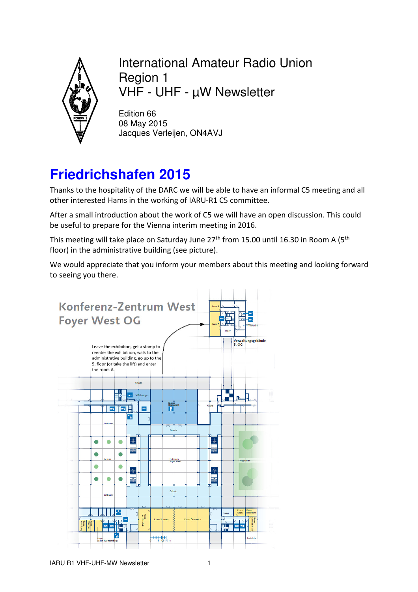

#### International Amateur Radio Union Region 1 VHF - UHF - µW Newsletter

Edition 66 08 May 2015 Jacques Verleijen, ON4AVJ

# **Friedrichshafen 2015**

Thanks to the hospitality of the DARC we will be able to have an informal C5 meeting and all other interested Hams in the working of IARU-R1 C5 committee.

After a small introduction about the work of C5 we will have an open discussion. This could be useful to prepare for the Vienna interim meeting in 2016.

This meeting will take place on Saturday June 27<sup>th</sup> from 15.00 until 16.30 in Room A (5<sup>th</sup> floor) in the administrative building (see picture).

We would appreciate that you inform your members about this meeting and looking forward to seeing you there.